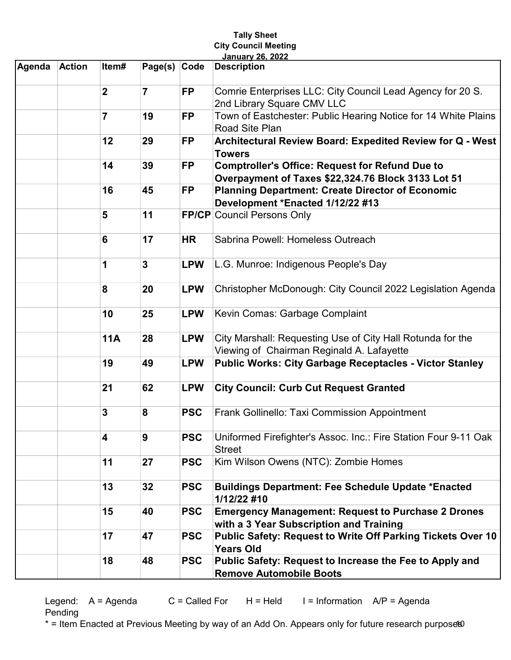| <b>City Council Meeting</b><br><b>January 26, 2022</b> |               |                |                |            |                                                                                                              |  |  |  |  |
|--------------------------------------------------------|---------------|----------------|----------------|------------|--------------------------------------------------------------------------------------------------------------|--|--|--|--|
| Agenda                                                 | <b>Action</b> | Item#          | Page(s)        | Code       | <b>Description</b>                                                                                           |  |  |  |  |
|                                                        |               | $\overline{2}$ | $\overline{7}$ | <b>FP</b>  | Comrie Enterprises LLC: City Council Lead Agency for 20 S.<br>2nd Library Square CMV LLC                     |  |  |  |  |
|                                                        |               | $\overline{7}$ | 19             | <b>FP</b>  | Town of Eastchester: Public Hearing Notice for 14 White Plains<br>Road Site Plan                             |  |  |  |  |
|                                                        |               | 12             | 29             | <b>FP</b>  | Architectural Review Board: Expedited Review for Q - West<br><b>Towers</b>                                   |  |  |  |  |
|                                                        |               | 14             | 39             | <b>FP</b>  | <b>Comptroller's Office: Request for Refund Due to</b><br>Overpayment of Taxes \$22,324.76 Block 3133 Lot 51 |  |  |  |  |
|                                                        |               | 16             | 45             | <b>FP</b>  | <b>Planning Department: Create Director of Economic</b><br>Development *Enacted 1/12/22 #13                  |  |  |  |  |
|                                                        |               | 5              | 11             |            | <b>FP/CP Council Persons Only</b>                                                                            |  |  |  |  |
|                                                        |               | 6              | 17             | <b>HR</b>  | Sabrina Powell: Homeless Outreach                                                                            |  |  |  |  |
|                                                        |               | 1              | 3              | <b>LPW</b> | L.G. Munroe: Indigenous People's Day                                                                         |  |  |  |  |
|                                                        |               | 8              | 20             | <b>LPW</b> | Christopher McDonough: City Council 2022 Legislation Agenda                                                  |  |  |  |  |
|                                                        |               | 10             | 25             | <b>LPW</b> | Kevin Comas: Garbage Complaint                                                                               |  |  |  |  |
|                                                        |               | <b>11A</b>     | 28             | <b>LPW</b> | City Marshall: Requesting Use of City Hall Rotunda for the<br>Viewing of Chairman Reginald A. Lafayette      |  |  |  |  |
|                                                        |               | 19             | 49             | <b>LPW</b> | <b>Public Works: City Garbage Receptacles - Victor Stanley</b>                                               |  |  |  |  |
|                                                        |               | 21             | 62             | <b>LPW</b> | <b>City Council: Curb Cut Request Granted</b>                                                                |  |  |  |  |
|                                                        |               | 3              | 8              | <b>PSC</b> | Frank Gollinello: Taxi Commission Appointment                                                                |  |  |  |  |
|                                                        |               | 4              | 9              | <b>PSC</b> | Uniformed Firefighter's Assoc. Inc.: Fire Station Four 9-11 Oak<br><b>Street</b>                             |  |  |  |  |
|                                                        |               | 11             | 27             | <b>PSC</b> | Kim Wilson Owens (NTC): Zombie Homes                                                                         |  |  |  |  |
|                                                        |               | 13             | 32             | <b>PSC</b> | <b>Buildings Department: Fee Schedule Update *Enacted</b><br>1/12/22 #10                                     |  |  |  |  |
|                                                        |               | 15             | 40             | <b>PSC</b> | <b>Emergency Management: Request to Purchase 2 Drones</b><br>with a 3 Year Subscription and Training         |  |  |  |  |
|                                                        |               | 17             | 47             | <b>PSC</b> | Public Safety: Request to Write Off Parking Tickets Over 10<br><b>Years Old</b>                              |  |  |  |  |
|                                                        |               | 18             | 48             | <b>PSC</b> | Public Safety: Request to Increase the Fee to Apply and<br><b>Remove Automobile Boots</b>                    |  |  |  |  |

Tally Sheet

Legend:  $A = A$ genda  $C = C$ alled For  $H = He$ ld I = Information  $A/P = A$ genda Pending

\* = Item Enacted at Previous Meeting by way of an Add On. Appears only for future research purpose®